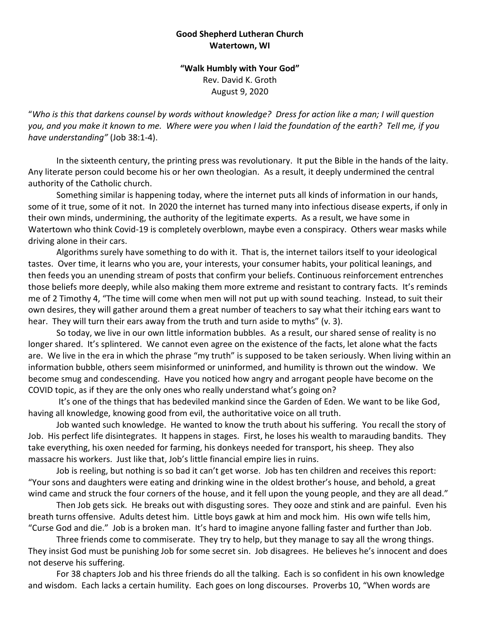## **Good Shepherd Lutheran Church Watertown, WI**

**"Walk Humbly with Your God"** Rev. David K. Groth August 9, 2020

"*Who is this that darkens counsel by words without knowledge? Dress for action like a man; I will question you, and you make it known to me. Where were you when I laid the foundation of the earth? Tell me, if you have understanding"* (Job 38:1-4).

In the sixteenth century, the printing press was revolutionary. It put the Bible in the hands of the laity. Any literate person could become his or her own theologian. As a result, it deeply undermined the central authority of the Catholic church.

Something similar is happening today, where the internet puts all kinds of information in our hands, some of it true, some of it not. In 2020 the internet has turned many into infectious disease experts, if only in their own minds, undermining, the authority of the legitimate experts. As a result, we have some in Watertown who think Covid-19 is completely overblown, maybe even a conspiracy. Others wear masks while driving alone in their cars.

Algorithms surely have something to do with it. That is, the internet tailors itself to your ideological tastes. Over time, it learns who you are, your interests, your consumer habits, your political leanings, and then feeds you an unending stream of posts that confirm your beliefs. Continuous reinforcement entrenches those beliefs more deeply, while also making them more extreme and resistant to contrary facts. It's reminds me of 2 Timothy 4, "The time will come when men will not put up with sound teaching. Instead, to suit their own desires, they will gather around them a great number of teachers to say what their itching ears want to hear. They will turn their ears away from the truth and turn aside to myths" (v. 3).

So today, we live in our own little information bubbles. As a result, our shared sense of reality is no longer shared. It's splintered. We cannot even agree on the existence of the facts, let alone what the facts are. We live in the era in which the phrase "my truth" is supposed to be taken seriously. When living within an information bubble, others seem misinformed or uninformed, and humility is thrown out the window. We become smug and condescending. Have you noticed how angry and arrogant people have become on the COVID topic, as if they are the only ones who really understand what's going on?

It's one of the things that has bedeviled mankind since the Garden of Eden. We want to be like God, having all knowledge, knowing good from evil, the authoritative voice on all truth.

Job wanted such knowledge. He wanted to know the truth about his suffering. You recall the story of Job. His perfect life disintegrates. It happens in stages. First, he loses his wealth to marauding bandits. They take everything, his oxen needed for farming, his donkeys needed for transport, his sheep. They also massacre his workers. Just like that, Job's little financial empire lies in ruins.

Job is reeling, but nothing is so bad it can't get worse. Job has ten children and receives this report: "Your sons and daughters were eating and drinking wine in the oldest brother's house, and behold, a great wind came and struck the four corners of the house, and it fell upon the young people, and they are all dead."

Then Job gets sick. He breaks out with disgusting sores. They ooze and stink and are painful. Even his breath turns offensive. Adults detest him. Little boys gawk at him and mock him. His own wife tells him, "Curse God and die." Job is a broken man. It's hard to imagine anyone falling faster and further than Job.

Three friends come to commiserate. They try to help, but they manage to say all the wrong things. They insist God must be punishing Job for some secret sin. Job disagrees. He believes he's innocent and does not deserve his suffering.

For 38 chapters Job and his three friends do all the talking. Each is so confident in his own knowledge and wisdom. Each lacks a certain humility. Each goes on long discourses. Proverbs 10, "When words are